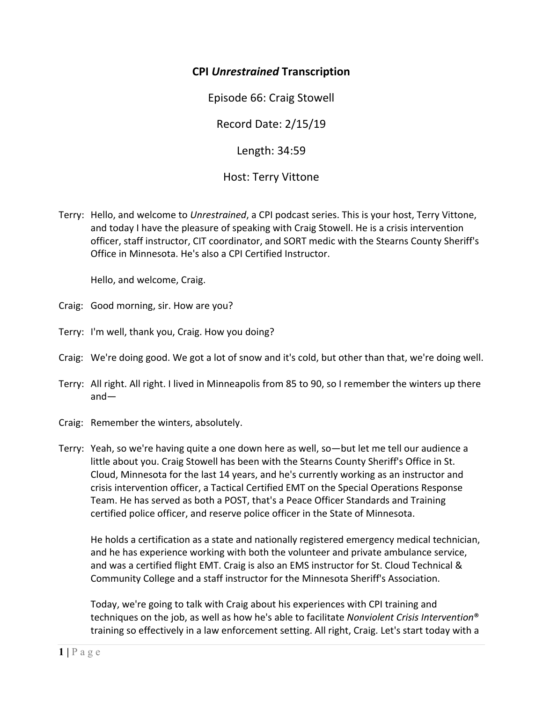## **CPI** *Unrestrained* **Transcription**

Episode 66: Craig Stowell

Record Date: 2/15/19

Length: 34:59

Host: Terry Vittone

Terry: Hello, and welcome to *Unrestrained*, a CPI podcast series. This is your host, Terry Vittone, and today I have the pleasure of speaking with Craig Stowell. He is a crisis intervention officer, staff instructor, CIT coordinator, and SORT medic with the Stearns County Sheriff's Office in Minnesota. He's also a CPI Certified Instructor.

Hello, and welcome, Craig.

Craig: Good morning, sir. How are you?

- Terry: I'm well, thank you, Craig. How you doing?
- Craig: We're doing good. We got a lot of snow and it's cold, but other than that, we're doing well.
- Terry: All right. All right. I lived in Minneapolis from 85 to 90, so I remember the winters up there and—
- Craig: Remember the winters, absolutely.
- Terry: Yeah, so we're having quite a one down here as well, so—but let me tell our audience a little about you. Craig Stowell has been with the Stearns County Sheriff's Office in St. Cloud, Minnesota for the last 14 years, and he's currently working as an instructor and crisis intervention officer, a Tactical Certified EMT on the Special Operations Response Team. He has served as both a POST, that's a Peace Officer Standards and Training certified police officer, and reserve police officer in the State of Minnesota.

 He holds a certification as a state and nationally registered emergency medical technician, and he has experience working with both the volunteer and private ambulance service, and was a certified flight EMT. Craig is also an EMS instructor for St. Cloud Technical & Community College and a staff instructor for the Minnesota Sheriff's Association.

Today, we're going to talk with Craig about his experiences with CPI training and techniques on the job, as well as how he's able to facilitate *Nonviolent Crisis Intervention*® training so effectively in a law enforcement setting. All right, Craig. Let's start today with a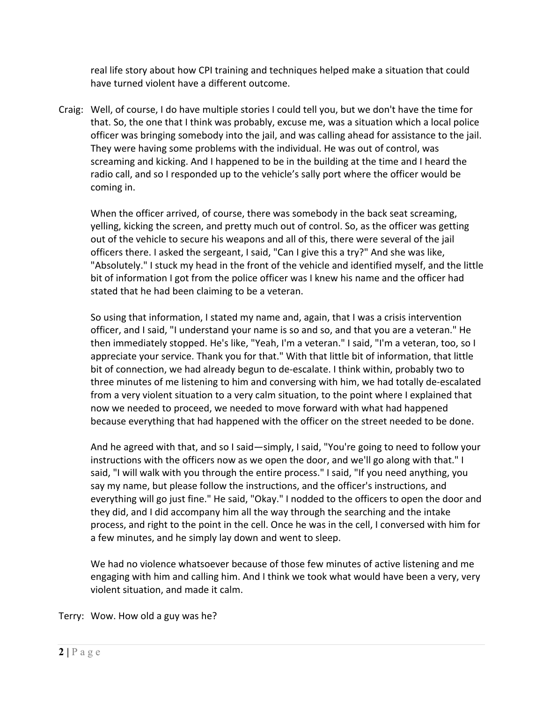real life story about how CPI training and techniques helped make a situation that could have turned violent have a different outcome.

Craig: Well, of course, I do have multiple stories I could tell you, but we don't have the time for that. So, the one that I think was probably, excuse me, was a situation which a local police officer was bringing somebody into the jail, and was calling ahead for assistance to the jail. They were having some problems with the individual. He was out of control, was screaming and kicking. And I happened to be in the building at the time and I heard the radio call, and so I responded up to the vehicle's sally port where the officer would be coming in.

When the officer arrived, of course, there was somebody in the back seat screaming, yelling, kicking the screen, and pretty much out of control. So, as the officer was getting out of the vehicle to secure his weapons and all of this, there were several of the jail officers there. I asked the sergeant, I said, "Can I give this a try?" And she was like, "Absolutely." I stuck my head in the front of the vehicle and identified myself, and the little bit of information I got from the police officer was I knew his name and the officer had stated that he had been claiming to be a veteran.

So using that information, I stated my name and, again, that I was a crisis intervention officer, and I said, "I understand your name is so and so, and that you are a veteran." He then immediately stopped. He's like, "Yeah, I'm a veteran." I said, "I'm a veteran, too, so I appreciate your service. Thank you for that." With that little bit of information, that little bit of connection, we had already begun to de‐escalate. I think within, probably two to three minutes of me listening to him and conversing with him, we had totally de‐escalated from a very violent situation to a very calm situation, to the point where I explained that now we needed to proceed, we needed to move forward with what had happened because everything that had happened with the officer on the street needed to be done.

And he agreed with that, and so I said—simply, I said, "You're going to need to follow your instructions with the officers now as we open the door, and we'll go along with that." I said, "I will walk with you through the entire process." I said, "If you need anything, you say my name, but please follow the instructions, and the officer's instructions, and everything will go just fine." He said, "Okay." I nodded to the officers to open the door and they did, and I did accompany him all the way through the searching and the intake process, and right to the point in the cell. Once he was in the cell, I conversed with him for a few minutes, and he simply lay down and went to sleep.

We had no violence whatsoever because of those few minutes of active listening and me engaging with him and calling him. And I think we took what would have been a very, very violent situation, and made it calm.

Terry: Wow. How old a guy was he?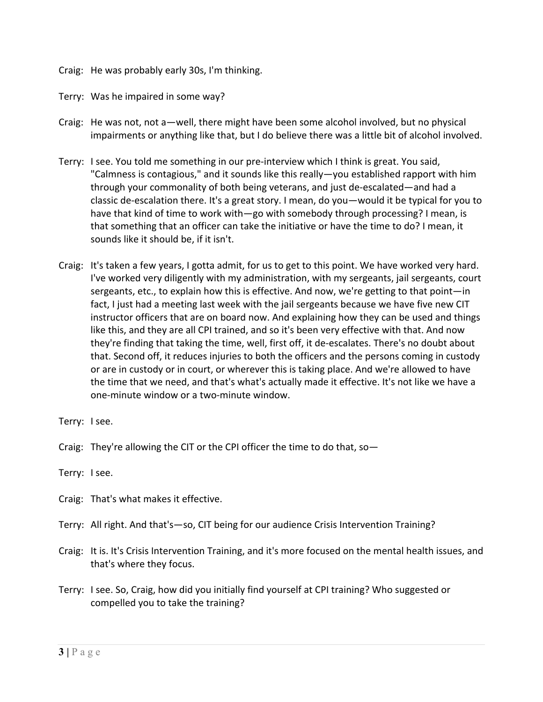- Craig: He was probably early 30s, I'm thinking.
- Terry: Was he impaired in some way?
- Craig: He was not, not a—well, there might have been some alcohol involved, but no physical impairments or anything like that, but I do believe there was a little bit of alcohol involved.
- Terry: I see. You told me something in our pre‐interview which I think is great. You said, "Calmness is contagious," and it sounds like this really—you established rapport with him through your commonality of both being veterans, and just de‐escalated—and had a classic de‐escalation there. It's a great story. I mean, do you—would it be typical for you to have that kind of time to work with—go with somebody through processing? I mean, is that something that an officer can take the initiative or have the time to do? I mean, it sounds like it should be, if it isn't.
- Craig: It's taken a few years, I gotta admit, for us to get to this point. We have worked very hard. I've worked very diligently with my administration, with my sergeants, jail sergeants, court sergeants, etc., to explain how this is effective. And now, we're getting to that point—in fact, I just had a meeting last week with the jail sergeants because we have five new CIT instructor officers that are on board now. And explaining how they can be used and things like this, and they are all CPI trained, and so it's been very effective with that. And now they're finding that taking the time, well, first off, it de‐escalates. There's no doubt about that. Second off, it reduces injuries to both the officers and the persons coming in custody or are in custody or in court, or wherever this is taking place. And we're allowed to have the time that we need, and that's what's actually made it effective. It's not like we have a one‐minute window or a two‐minute window.
- Terry: I see.
- Craig: They're allowing the CIT or the CPI officer the time to do that, so—

Terry: I see.

- Craig: That's what makes it effective.
- Terry: All right. And that's—so, CIT being for our audience Crisis Intervention Training?
- Craig: It is. It's Crisis Intervention Training, and it's more focused on the mental health issues, and that's where they focus.
- Terry: I see. So, Craig, how did you initially find yourself at CPI training? Who suggested or compelled you to take the training?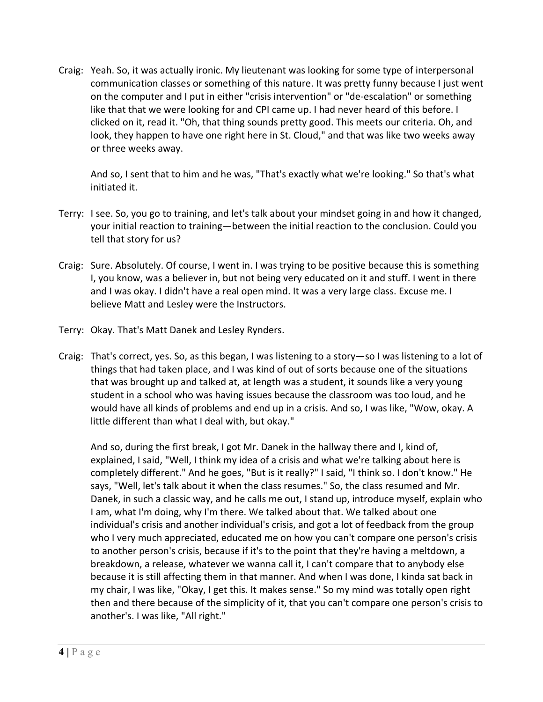Craig: Yeah. So, it was actually ironic. My lieutenant was looking for some type of interpersonal communication classes or something of this nature. It was pretty funny because I just went on the computer and I put in either "crisis intervention" or "de‐escalation" or something like that that we were looking for and CPI came up. I had never heard of this before. I clicked on it, read it. "Oh, that thing sounds pretty good. This meets our criteria. Oh, and look, they happen to have one right here in St. Cloud," and that was like two weeks away or three weeks away.

And so, I sent that to him and he was, "That's exactly what we're looking." So that's what initiated it.

- Terry: I see. So, you go to training, and let's talk about your mindset going in and how it changed, your initial reaction to training—between the initial reaction to the conclusion. Could you tell that story for us?
- Craig: Sure. Absolutely. Of course, I went in. I was trying to be positive because this is something I, you know, was a believer in, but not being very educated on it and stuff. I went in there and I was okay. I didn't have a real open mind. It was a very large class. Excuse me. I believe Matt and Lesley were the Instructors.
- Terry: Okay. That's Matt Danek and Lesley Rynders.
- Craig: That's correct, yes. So, as this began, I was listening to a story—so I was listening to a lot of things that had taken place, and I was kind of out of sorts because one of the situations that was brought up and talked at, at length was a student, it sounds like a very young student in a school who was having issues because the classroom was too loud, and he would have all kinds of problems and end up in a crisis. And so, I was like, "Wow, okay. A little different than what I deal with, but okay."

And so, during the first break, I got Mr. Danek in the hallway there and I, kind of, explained, I said, "Well, I think my idea of a crisis and what we're talking about here is completely different." And he goes, "But is it really?" I said, "I think so. I don't know." He says, "Well, let's talk about it when the class resumes." So, the class resumed and Mr. Danek, in such a classic way, and he calls me out, I stand up, introduce myself, explain who I am, what I'm doing, why I'm there. We talked about that. We talked about one individual's crisis and another individual's crisis, and got a lot of feedback from the group who I very much appreciated, educated me on how you can't compare one person's crisis to another person's crisis, because if it's to the point that they're having a meltdown, a breakdown, a release, whatever we wanna call it, I can't compare that to anybody else because it is still affecting them in that manner. And when I was done, I kinda sat back in my chair, I was like, "Okay, I get this. It makes sense." So my mind was totally open right then and there because of the simplicity of it, that you can't compare one person's crisis to another's. I was like, "All right."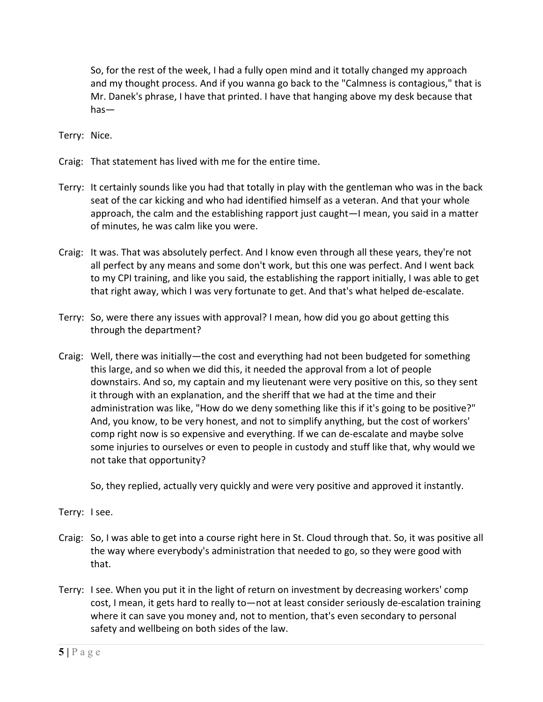So, for the rest of the week, I had a fully open mind and it totally changed my approach and my thought process. And if you wanna go back to the "Calmness is contagious," that is Mr. Danek's phrase, I have that printed. I have that hanging above my desk because that has—

Terry: Nice.

- Craig: That statement has lived with me for the entire time.
- Terry: It certainly sounds like you had that totally in play with the gentleman who was in the back seat of the car kicking and who had identified himself as a veteran. And that your whole approach, the calm and the establishing rapport just caught—I mean, you said in a matter of minutes, he was calm like you were.
- Craig: It was. That was absolutely perfect. And I know even through all these years, they're not all perfect by any means and some don't work, but this one was perfect. And I went back to my CPI training, and like you said, the establishing the rapport initially, I was able to get that right away, which I was very fortunate to get. And that's what helped de‐escalate.
- Terry: So, were there any issues with approval? I mean, how did you go about getting this through the department?
- Craig: Well, there was initially—the cost and everything had not been budgeted for something this large, and so when we did this, it needed the approval from a lot of people downstairs. And so, my captain and my lieutenant were very positive on this, so they sent it through with an explanation, and the sheriff that we had at the time and their administration was like, "How do we deny something like this if it's going to be positive?" And, you know, to be very honest, and not to simplify anything, but the cost of workers' comp right now is so expensive and everything. If we can de‐escalate and maybe solve some injuries to ourselves or even to people in custody and stuff like that, why would we not take that opportunity?

So, they replied, actually very quickly and were very positive and approved it instantly.

Terry: I see.

- Craig: So, I was able to get into a course right here in St. Cloud through that. So, it was positive all the way where everybody's administration that needed to go, so they were good with that.
- Terry: I see. When you put it in the light of return on investment by decreasing workers' comp cost, I mean, it gets hard to really to—not at least consider seriously de‐escalation training where it can save you money and, not to mention, that's even secondary to personal safety and wellbeing on both sides of the law.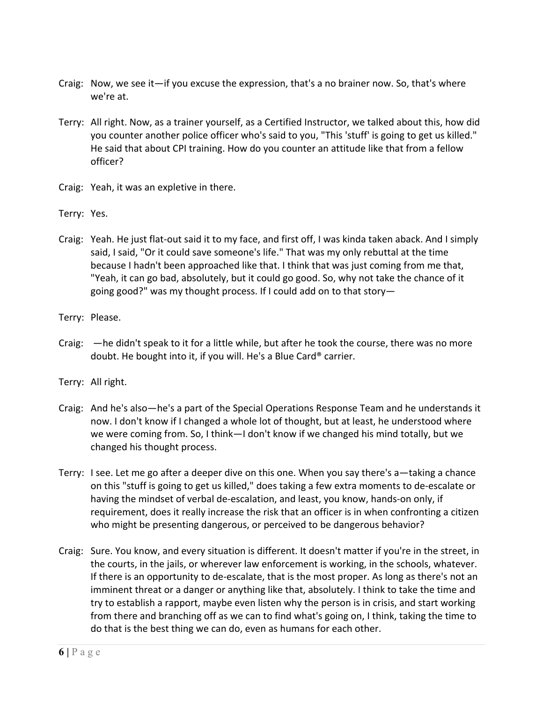- Craig: Now, we see it—if you excuse the expression, that's a no brainer now. So, that's where we're at.
- Terry: All right. Now, as a trainer yourself, as a Certified Instructor, we talked about this, how did you counter another police officer who's said to you, "This 'stuff' is going to get us killed." He said that about CPI training. How do you counter an attitude like that from a fellow officer?
- Craig: Yeah, it was an expletive in there.
- Terry: Yes.
- Craig: Yeah. He just flat‐out said it to my face, and first off, I was kinda taken aback. And I simply said, I said, "Or it could save someone's life." That was my only rebuttal at the time because I hadn't been approached like that. I think that was just coming from me that, "Yeah, it can go bad, absolutely, but it could go good. So, why not take the chance of it going good?" was my thought process. If I could add on to that story—
- Terry: Please.
- Craig: —he didn't speak to it for a little while, but after he took the course, there was no more doubt. He bought into it, if you will. He's a Blue Card® carrier.
- Terry: All right.
- Craig: And he's also—he's a part of the Special Operations Response Team and he understands it now. I don't know if I changed a whole lot of thought, but at least, he understood where we were coming from. So, I think—I don't know if we changed his mind totally, but we changed his thought process.
- Terry: I see. Let me go after a deeper dive on this one. When you say there's a—taking a chance on this "stuff is going to get us killed," does taking a few extra moments to de‐escalate or having the mindset of verbal de‐escalation, and least, you know, hands‐on only, if requirement, does it really increase the risk that an officer is in when confronting a citizen who might be presenting dangerous, or perceived to be dangerous behavior?
- Craig: Sure. You know, and every situation is different. It doesn't matter if you're in the street, in the courts, in the jails, or wherever law enforcement is working, in the schools, whatever. If there is an opportunity to de‐escalate, that is the most proper. As long as there's not an imminent threat or a danger or anything like that, absolutely. I think to take the time and try to establish a rapport, maybe even listen why the person is in crisis, and start working from there and branching off as we can to find what's going on, I think, taking the time to do that is the best thing we can do, even as humans for each other.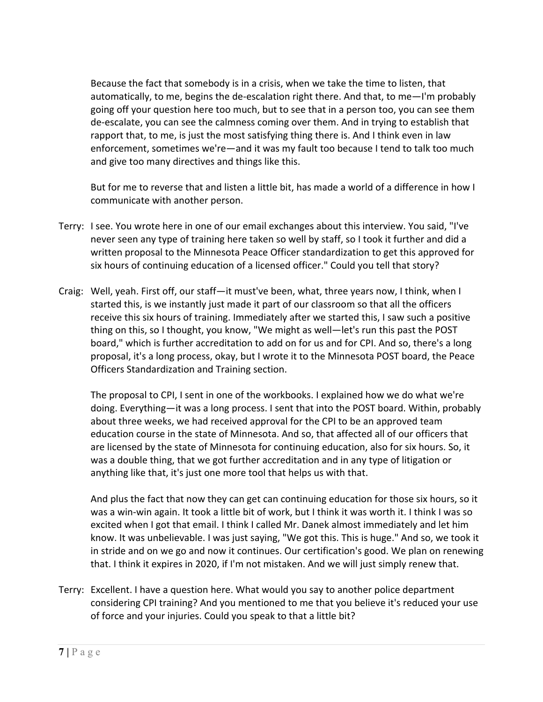Because the fact that somebody is in a crisis, when we take the time to listen, that automatically, to me, begins the de‐escalation right there. And that, to me—I'm probably going off your question here too much, but to see that in a person too, you can see them de‐escalate, you can see the calmness coming over them. And in trying to establish that rapport that, to me, is just the most satisfying thing there is. And I think even in law enforcement, sometimes we're—and it was my fault too because I tend to talk too much and give too many directives and things like this.

But for me to reverse that and listen a little bit, has made a world of a difference in how I communicate with another person.

- Terry: I see. You wrote here in one of our email exchanges about this interview. You said, "I've never seen any type of training here taken so well by staff, so I took it further and did a written proposal to the Minnesota Peace Officer standardization to get this approved for six hours of continuing education of a licensed officer." Could you tell that story?
- Craig: Well, yeah. First off, our staff—it must've been, what, three years now, I think, when I started this, is we instantly just made it part of our classroom so that all the officers receive this six hours of training. Immediately after we started this, I saw such a positive thing on this, so I thought, you know, "We might as well—let's run this past the POST board," which is further accreditation to add on for us and for CPI. And so, there's a long proposal, it's a long process, okay, but I wrote it to the Minnesota POST board, the Peace Officers Standardization and Training section.

The proposal to CPI, I sent in one of the workbooks. I explained how we do what we're doing. Everything—it was a long process. I sent that into the POST board. Within, probably about three weeks, we had received approval for the CPI to be an approved team education course in the state of Minnesota. And so, that affected all of our officers that are licensed by the state of Minnesota for continuing education, also for six hours. So, it was a double thing, that we got further accreditation and in any type of litigation or anything like that, it's just one more tool that helps us with that.

And plus the fact that now they can get can continuing education for those six hours, so it was a win‐win again. It took a little bit of work, but I think it was worth it. I think I was so excited when I got that email. I think I called Mr. Danek almost immediately and let him know. It was unbelievable. I was just saying, "We got this. This is huge." And so, we took it in stride and on we go and now it continues. Our certification's good. We plan on renewing that. I think it expires in 2020, if I'm not mistaken. And we will just simply renew that.

Terry: Excellent. I have a question here. What would you say to another police department considering CPI training? And you mentioned to me that you believe it's reduced your use of force and your injuries. Could you speak to that a little bit?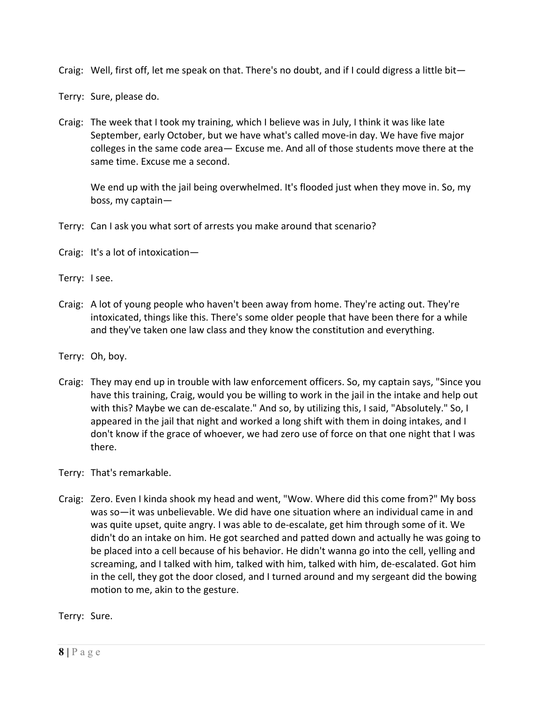Craig: Well, first off, let me speak on that. There's no doubt, and if I could digress a little bit—

Terry: Sure, please do.

Craig: The week that I took my training, which I believe was in July, I think it was like late September, early October, but we have what's called move‐in day. We have five major colleges in the same code area— Excuse me. And all of those students move there at the same time. Excuse me a second.

We end up with the jail being overwhelmed. It's flooded just when they move in. So, my boss, my captain—

Terry: Can I ask you what sort of arrests you make around that scenario?

Craig: It's a lot of intoxication—

Terry: I see.

- Craig: A lot of young people who haven't been away from home. They're acting out. They're intoxicated, things like this. There's some older people that have been there for a while and they've taken one law class and they know the constitution and everything.
- Terry: Oh, boy.
- Craig: They may end up in trouble with law enforcement officers. So, my captain says, "Since you have this training, Craig, would you be willing to work in the jail in the intake and help out with this? Maybe we can de-escalate." And so, by utilizing this, I said, "Absolutely." So, I appeared in the jail that night and worked a long shift with them in doing intakes, and I don't know if the grace of whoever, we had zero use of force on that one night that I was there.

Terry: That's remarkable.

Craig: Zero. Even I kinda shook my head and went, "Wow. Where did this come from?" My boss was so—it was unbelievable. We did have one situation where an individual came in and was quite upset, quite angry. I was able to de‐escalate, get him through some of it. We didn't do an intake on him. He got searched and patted down and actually he was going to be placed into a cell because of his behavior. He didn't wanna go into the cell, yelling and screaming, and I talked with him, talked with him, talked with him, de‐escalated. Got him in the cell, they got the door closed, and I turned around and my sergeant did the bowing motion to me, akin to the gesture.

Terry: Sure.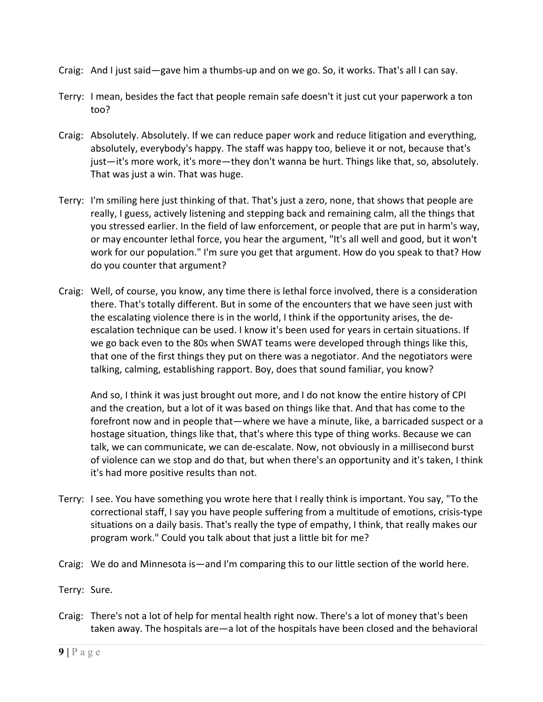- Craig: And I just said—gave him a thumbs‐up and on we go. So, it works. That's all I can say.
- Terry: I mean, besides the fact that people remain safe doesn't it just cut your paperwork a ton too?
- Craig: Absolutely. Absolutely. If we can reduce paper work and reduce litigation and everything, absolutely, everybody's happy. The staff was happy too, believe it or not, because that's just—it's more work, it's more—they don't wanna be hurt. Things like that, so, absolutely. That was just a win. That was huge.
- Terry: I'm smiling here just thinking of that. That's just a zero, none, that shows that people are really, I guess, actively listening and stepping back and remaining calm, all the things that you stressed earlier. In the field of law enforcement, or people that are put in harm's way, or may encounter lethal force, you hear the argument, "It's all well and good, but it won't work for our population." I'm sure you get that argument. How do you speak to that? How do you counter that argument?
- Craig: Well, of course, you know, any time there is lethal force involved, there is a consideration there. That's totally different. But in some of the encounters that we have seen just with the escalating violence there is in the world, I think if the opportunity arises, the de‐ escalation technique can be used. I know it's been used for years in certain situations. If we go back even to the 80s when SWAT teams were developed through things like this, that one of the first things they put on there was a negotiator. And the negotiators were talking, calming, establishing rapport. Boy, does that sound familiar, you know?

And so, I think it was just brought out more, and I do not know the entire history of CPI and the creation, but a lot of it was based on things like that. And that has come to the forefront now and in people that—where we have a minute, like, a barricaded suspect or a hostage situation, things like that, that's where this type of thing works. Because we can talk, we can communicate, we can de‐escalate. Now, not obviously in a millisecond burst of violence can we stop and do that, but when there's an opportunity and it's taken, I think it's had more positive results than not.

- Terry: I see. You have something you wrote here that I really think is important. You say, "To the correctional staff, I say you have people suffering from a multitude of emotions, crisis‐type situations on a daily basis. That's really the type of empathy, I think, that really makes our program work." Could you talk about that just a little bit for me?
- Craig: We do and Minnesota is—and I'm comparing this to our little section of the world here.
- Terry: Sure.
- Craig: There's not a lot of help for mental health right now. There's a lot of money that's been taken away. The hospitals are—a lot of the hospitals have been closed and the behavioral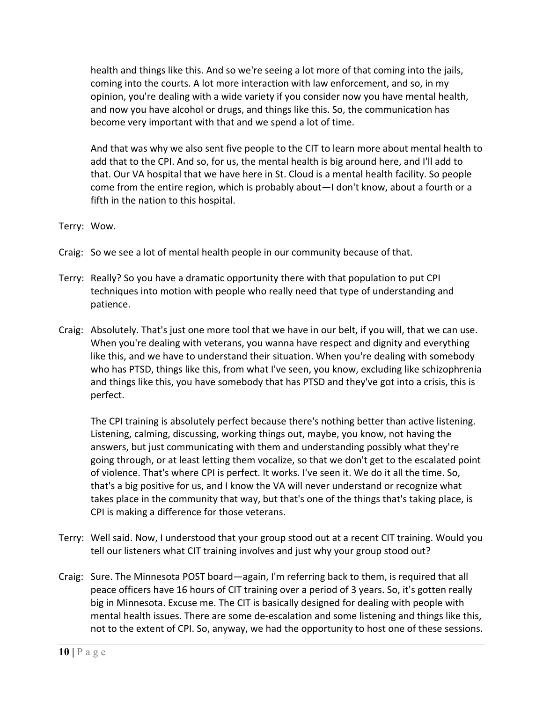health and things like this. And so we're seeing a lot more of that coming into the jails, coming into the courts. A lot more interaction with law enforcement, and so, in my opinion, you're dealing with a wide variety if you consider now you have mental health, and now you have alcohol or drugs, and things like this. So, the communication has become very important with that and we spend a lot of time.

And that was why we also sent five people to the CIT to learn more about mental health to add that to the CPI. And so, for us, the mental health is big around here, and I'll add to that. Our VA hospital that we have here in St. Cloud is a mental health facility. So people come from the entire region, which is probably about—I don't know, about a fourth or a fifth in the nation to this hospital.

Terry: Wow.

- Craig: So we see a lot of mental health people in our community because of that.
- Terry: Really? So you have a dramatic opportunity there with that population to put CPI techniques into motion with people who really need that type of understanding and patience.
- Craig: Absolutely. That's just one more tool that we have in our belt, if you will, that we can use. When you're dealing with veterans, you wanna have respect and dignity and everything like this, and we have to understand their situation. When you're dealing with somebody who has PTSD, things like this, from what I've seen, you know, excluding like schizophrenia and things like this, you have somebody that has PTSD and they've got into a crisis, this is perfect.

The CPI training is absolutely perfect because there's nothing better than active listening. Listening, calming, discussing, working things out, maybe, you know, not having the answers, but just communicating with them and understanding possibly what they're going through, or at least letting them vocalize, so that we don't get to the escalated point of violence. That's where CPI is perfect. It works. I've seen it. We do it all the time. So, that's a big positive for us, and I know the VA will never understand or recognize what takes place in the community that way, but that's one of the things that's taking place, is CPI is making a difference for those veterans.

- Terry: Well said. Now, I understood that your group stood out at a recent CIT training. Would you tell our listeners what CIT training involves and just why your group stood out?
- Craig: Sure. The Minnesota POST board—again, I'm referring back to them, is required that all peace officers have 16 hours of CIT training over a period of 3 years. So, it's gotten really big in Minnesota. Excuse me. The CIT is basically designed for dealing with people with mental health issues. There are some de‐escalation and some listening and things like this, not to the extent of CPI. So, anyway, we had the opportunity to host one of these sessions.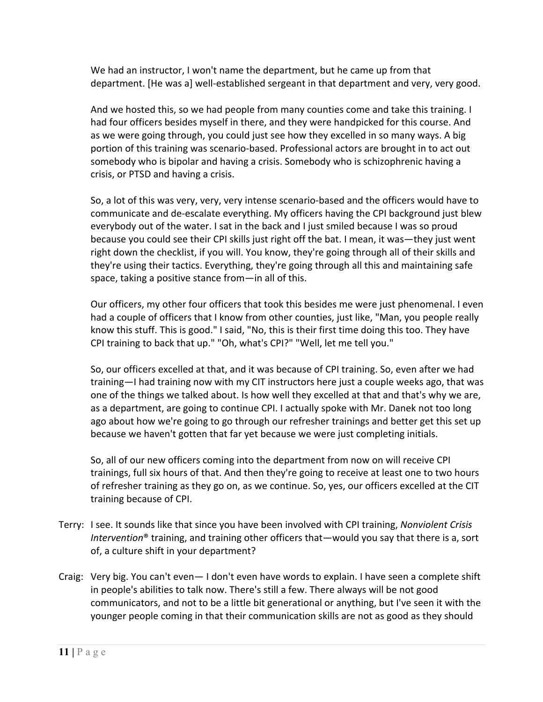We had an instructor, I won't name the department, but he came up from that department. [He was a] well‐established sergeant in that department and very, very good.

And we hosted this, so we had people from many counties come and take this training. I had four officers besides myself in there, and they were handpicked for this course. And as we were going through, you could just see how they excelled in so many ways. A big portion of this training was scenario-based. Professional actors are brought in to act out somebody who is bipolar and having a crisis. Somebody who is schizophrenic having a crisis, or PTSD and having a crisis.

So, a lot of this was very, very, very intense scenario‐based and the officers would have to communicate and de‐escalate everything. My officers having the CPI background just blew everybody out of the water. I sat in the back and I just smiled because I was so proud because you could see their CPI skills just right off the bat. I mean, it was—they just went right down the checklist, if you will. You know, they're going through all of their skills and they're using their tactics. Everything, they're going through all this and maintaining safe space, taking a positive stance from—in all of this.

Our officers, my other four officers that took this besides me were just phenomenal. I even had a couple of officers that I know from other counties, just like, "Man, you people really know this stuff. This is good." I said, "No, this is their first time doing this too. They have CPI training to back that up." "Oh, what's CPI?" "Well, let me tell you."

So, our officers excelled at that, and it was because of CPI training. So, even after we had training—I had training now with my CIT instructors here just a couple weeks ago, that was one of the things we talked about. Is how well they excelled at that and that's why we are, as a department, are going to continue CPI. I actually spoke with Mr. Danek not too long ago about how we're going to go through our refresher trainings and better get this set up because we haven't gotten that far yet because we were just completing initials.

So, all of our new officers coming into the department from now on will receive CPI trainings, full six hours of that. And then they're going to receive at least one to two hours of refresher training as they go on, as we continue. So, yes, our officers excelled at the CIT training because of CPI.

- Terry: I see. It sounds like that since you have been involved with CPI training, *Nonviolent Crisis Intervention*® training, and training other officers that—would you say that there is a, sort of, a culture shift in your department?
- Craig: Very big. You can't even— I don't even have words to explain. I have seen a complete shift in people's abilities to talk now. There's still a few. There always will be not good communicators, and not to be a little bit generational or anything, but I've seen it with the younger people coming in that their communication skills are not as good as they should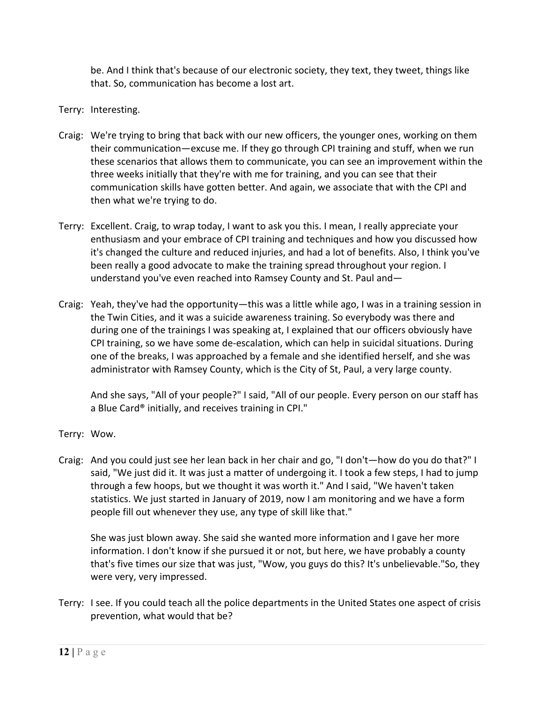be. And I think that's because of our electronic society, they text, they tweet, things like that. So, communication has become a lost art.

- Terry: Interesting.
- Craig: We're trying to bring that back with our new officers, the younger ones, working on them their communication—excuse me. If they go through CPI training and stuff, when we run these scenarios that allows them to communicate, you can see an improvement within the three weeks initially that they're with me for training, and you can see that their communication skills have gotten better. And again, we associate that with the CPI and then what we're trying to do.
- Terry: Excellent. Craig, to wrap today, I want to ask you this. I mean, I really appreciate your enthusiasm and your embrace of CPI training and techniques and how you discussed how it's changed the culture and reduced injuries, and had a lot of benefits. Also, I think you've been really a good advocate to make the training spread throughout your region. I understand you've even reached into Ramsey County and St. Paul and—
- Craig: Yeah, they've had the opportunity—this was a little while ago, I was in a training session in the Twin Cities, and it was a suicide awareness training. So everybody was there and during one of the trainings I was speaking at, I explained that our officers obviously have CPI training, so we have some de‐escalation, which can help in suicidal situations. During one of the breaks, I was approached by a female and she identified herself, and she was administrator with Ramsey County, which is the City of St, Paul, a very large county.

And she says, "All of your people?" I said, "All of our people. Every person on our staff has a Blue Card® initially, and receives training in CPI."

- Terry: Wow.
- Craig: And you could just see her lean back in her chair and go, "I don't—how do you do that?" I said, "We just did it. It was just a matter of undergoing it. I took a few steps, I had to jump through a few hoops, but we thought it was worth it." And I said, "We haven't taken statistics. We just started in January of 2019, now I am monitoring and we have a form people fill out whenever they use, any type of skill like that."

She was just blown away. She said she wanted more information and I gave her more information. I don't know if she pursued it or not, but here, we have probably a county that's five times our size that was just, "Wow, you guys do this? It's unbelievable."So, they were very, very impressed.

Terry: I see. If you could teach all the police departments in the United States one aspect of crisis prevention, what would that be?